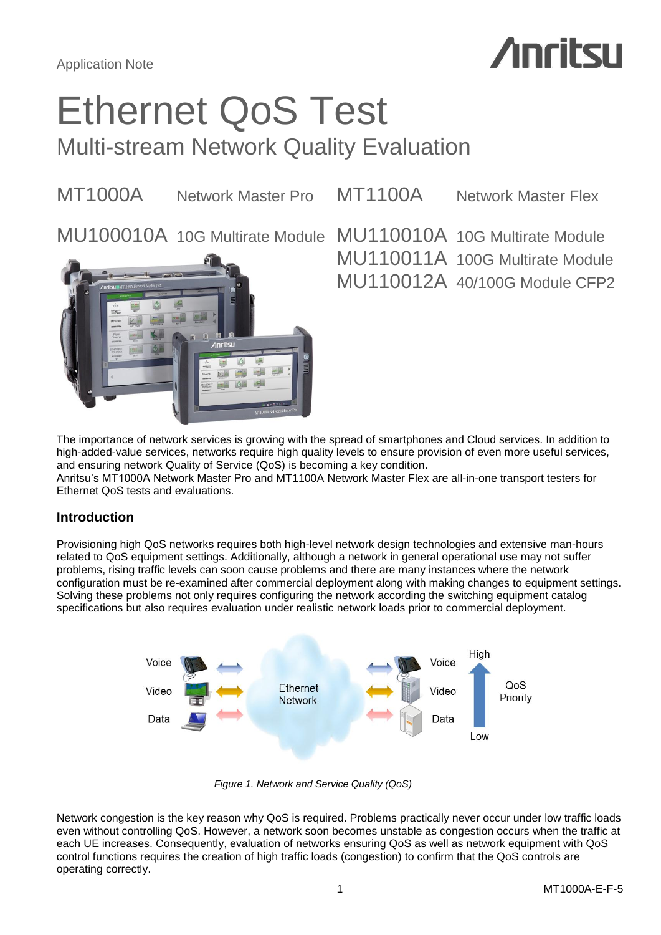# *Anritsu*

# Ethernet QoS Test

Multi-stream Network Quality Evaluation

MT1000A Network Master Pro MT1100A Network Master Flex

MU100010A 10G Multirate Module MU110010A 10G Multirate Module



MU110011A 100G Multirate Module MU110012A 40/100G Module CFP2

The importance of network services is growing with the spread of smartphones and Cloud services. In addition to high-added-value services, networks require high quality levels to ensure provision of even more useful services, and ensuring network Quality of Service (QoS) is becoming a key condition. Anritsu's MT1000A Network Master Pro and MT1100A Network Master Flex are all-in-one transport testers for

Ethernet QoS tests and evaluations.

# **Introduction**

Provisioning high QoS networks requires both high-level network design technologies and extensive man-hours related to QoS equipment settings. Additionally, although a network in general operational use may not suffer problems, rising traffic levels can soon cause problems and there are many instances where the network configuration must be re-examined after commercial deployment along with making changes to equipment settings. Solving these problems not only requires configuring the network according the switching equipment catalog specifications but also requires evaluation under realistic network loads prior to commercial deployment.



*Figure 1. Network and Service Quality (QoS)*

Network congestion is the key reason why QoS is required. Problems practically never occur under low traffic loads even without controlling QoS. However, a network soon becomes unstable as congestion occurs when the traffic at each UE increases. Consequently, evaluation of networks ensuring QoS as well as network equipment with QoS control functions requires the creation of high traffic loads (congestion) to confirm that the QoS controls are operating correctly.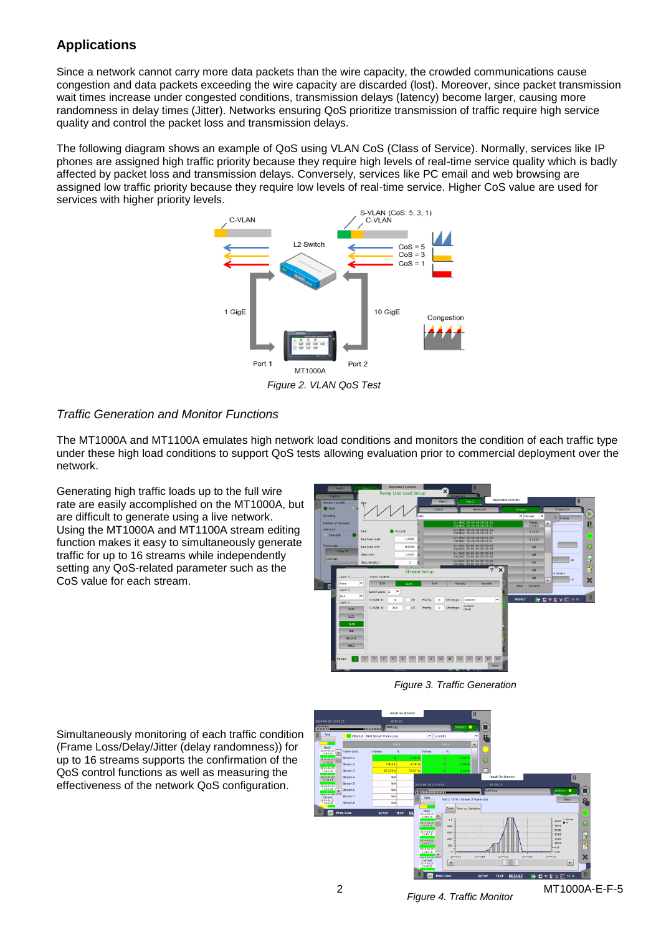# **Applications**

Since a network cannot carry more data packets than the wire capacity, the crowded communications cause congestion and data packets exceeding the wire capacity are discarded (lost). Moreover, since packet transmission wait times increase under congested conditions, transmission delays (latency) become larger, causing more randomness in delay times (Jitter). Networks ensuring QoS prioritize transmission of traffic require high service quality and control the packet loss and transmission delays.

The following diagram shows an example of QoS using VLAN CoS (Class of Service). Normally, services like IP phones are assigned high traffic priority because they require high levels of real-time service quality which is badly affected by packet loss and transmission delays. Conversely, services like PC email and web browsing are assigned low traffic priority because they require low levels of real-time service. Higher CoS value are used for services with higher priority levels.



# *Traffic Generation and Monitor Functions*

The MT1000A and MT1100A emulates high network load conditions and monitors the condition of each traffic type under these high load conditions to support QoS tests allowing evaluation prior to commercial deployment over the network.

Generating high traffic loads up to the full wire rate are easily accomplished on the MT1000A, but are difficult to generate using a live network. Using the MT1000A and MT1100A stream editing function makes it easy to simultaneously generate traffic for up to 16 streams while independently setting any QoS-related parameter such as the CoS value for each stream.



*Figure 3. Traffic Generation*

Simultaneously monitoring of each traffic condition (Frame Loss/Delay/Jitter (delay randomness)) for up to 16 streams supports the confirmation of the QoS control functions as well as measuring the effectiveness of the network QoS configuration.



*Figure 4. Traffic Monitor*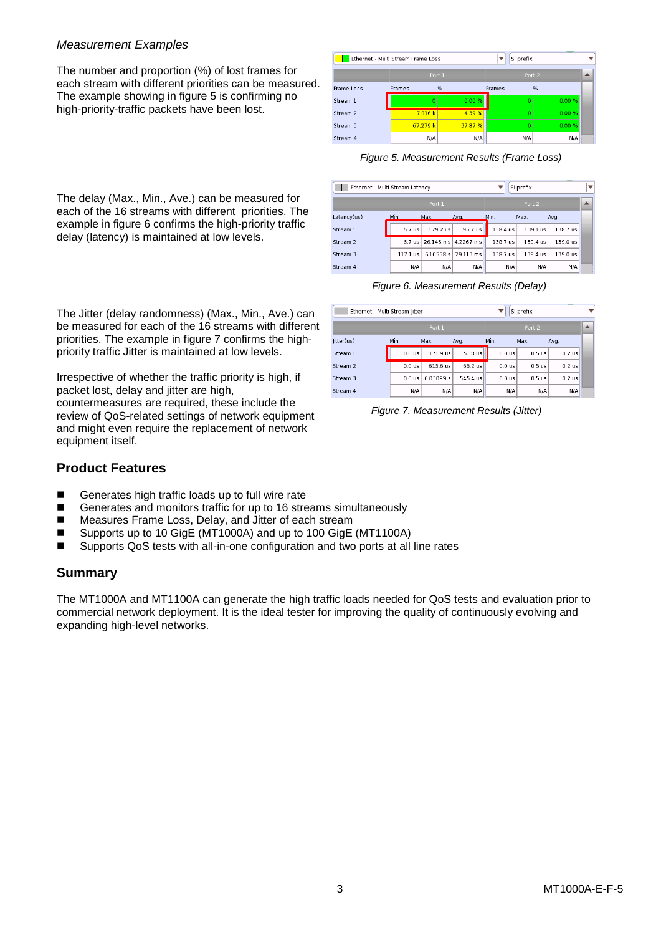# *Measurement Examples*

The number and proportion (%) of lost frames for each stream with different priorities can be measured. The example showing in figure 5 is confirming no high-priority-traffic packets have been lost.

The delay (Max., Min., Ave.) can be measured for each of the 16 streams with different priorities. The example in figure 6 confirms the high-priority traffic delay (latency) is maintained at low levels.

The Jitter (delay randomness) (Max., Min., Ave.) can be measured for each of the 16 streams with different priorities. The example in figure 7 confirms the highpriority traffic Jitter is maintained at low levels.

Irrespective of whether the traffic priority is high, if packet lost, delay and jitter are high, countermeasures are required, these include the review of QoS-related settings of network equipment and might even require the replacement of network equipment itself.

# **Product Features**

- Generates high traffic loads up to full wire rate
- Generates and monitors traffic for up to 16 streams simultaneously
- Measures Frame Loss, Delay, and Jitter of each stream
- Supports up to 10 GigE (MT1000A) and up to 100 GigE (MT1100A)
- Supports QoS tests with all-in-one configuration and two ports at all line rates

# **Summary**

The MT1000A and MT1100A can generate the high traffic loads needed for QoS tests and evaluation prior to commercial network deployment. It is the ideal tester for improving the quality of continuously evolving and expanding high-level networks.

| Ethernet - Multi Stream Frame Loss |          |         | SI prefix | -     |  |
|------------------------------------|----------|---------|-----------|-------|--|
|                                    | Port 1   |         | Port 2    |       |  |
| Frame Loss                         | Frames   | %       | Frames    | %     |  |
| Stream 1                           |          | 0.00%   | ō         | 0.00% |  |
| Stream <sub>2</sub>                | 7.816 k  | 4.39%   | o         | 0.00% |  |
| Stream 3                           | 67.279 k | 37.87 % | o         | 0.00% |  |
| Stream 4                           | N/A      | N/A     | N/A       | N/A   |  |

*Figure 5. Measurement Results (Frame Loss)*

| Ethernet - Multi Stream Latency |          |           |                     |          | SI prefix |          |                  |
|---------------------------------|----------|-----------|---------------------|----------|-----------|----------|------------------|
|                                 | Port 1   |           |                     | Port 2   |           |          | $\blacktriangle$ |
| Latency(us)                     | Min.     | Max.      | Avg.                | Min.     | Max.      | Ava.     |                  |
| Stream 1                        | 6.7 us   | 179.2 us  | 95.7 us             | 138.4 us | 139.1 us  | 138.7 us |                  |
| Stream <sub>2</sub>             | $67$ us  |           | 26 146 ms 4 2267 ms | 138 7 us | 139 4 us  | 1390 us  |                  |
| Stream 3                        | 117.1 us | 6.10558 s | 29.113 ms           | 138.7 us | 139.4 us  | 139.0 us |                  |
| Stream 4                        | N/A      | N/A       | N/A                 | N/A      | N/A       | N/A      |                  |

*Figure 6. Measurement Results (Delay)*

| Ethernet - Multi Stream Jitter |          |           |          | ▼        | SI prefix |          |  |
|--------------------------------|----------|-----------|----------|----------|-----------|----------|--|
|                                | Port 1   |           |          | Port 2   |           |          |  |
| (itter(us)                     | Min.     | Max.      | Avq.     | Min.     | Max.      | Avq.     |  |
| Stream 1                       | $0.0$ us | 171.9 us  | 51.8 us  | $0.0$ us | $0.5$ us  | $0.2$ us |  |
| Stream <sub>2</sub>            | $0.0$ us | 615.6 us  | 66.2 us  | $0.0$ us | $0.5$ us  | $0.2$ us |  |
| Stream 3                       | $0.0$ us | 6.03099 s | 545.4 us | $0.0$ us | $0.5$ us  | $0.2$ us |  |
| Stream 4                       | N/A      | N/A       | N/A      | N/A      | N/A       | N/A      |  |

*Figure 7. Measurement Results (Jitter)*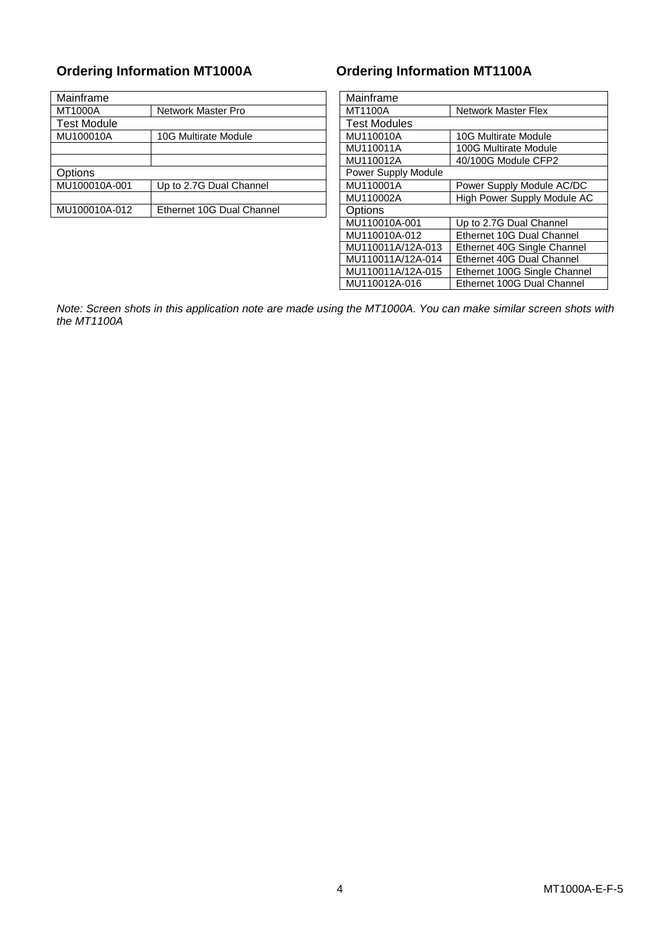# **Ordering Information MT1000A Ordering Information MT1100A**

| Mainframe          |                           | Mainframe           |                            |
|--------------------|---------------------------|---------------------|----------------------------|
| MT1000A            | Network Master Pro        | MT1100A             | <b>Network Master Flex</b> |
| <b>Test Module</b> |                           | <b>Test Modules</b> |                            |
| MU100010A          | 10G Multirate Module      | MU110010A           | 10G Multirate Module       |
|                    |                           | MU110011A           | 100G Multirate Module      |
|                    |                           | MU110012A           | 40/100G Module CFP2        |
| Options            |                           | Power Supply Module |                            |
| MU100010A-001      | Up to 2.7G Dual Channel   | MU110001A           | Power Supply Module AC/DC  |
|                    |                           | MU110002A           | High Power Supply Module A |
| MU100010A-012      | Ethernet 10G Dual Channel | Options             |                            |
|                    |                           |                     |                            |

| Mainframe           |                              |  |  |  |
|---------------------|------------------------------|--|--|--|
| MT1100A             | <b>Network Master Flex</b>   |  |  |  |
| <b>Test Modules</b> |                              |  |  |  |
| MU110010A           | <b>10G Multirate Module</b>  |  |  |  |
| MU110011A           | 100G Multirate Module        |  |  |  |
| MU110012A           | 40/100G Module CFP2          |  |  |  |
| Power Supply Module |                              |  |  |  |
| MU110001A           | Power Supply Module AC/DC    |  |  |  |
| MU110002A           | High Power Supply Module AC  |  |  |  |
| Options             |                              |  |  |  |
| MU110010A-001       | Up to 2.7G Dual Channel      |  |  |  |
| MU110010A-012       | Ethernet 10G Dual Channel    |  |  |  |
| MU110011A/12A-013   | Ethernet 40G Single Channel  |  |  |  |
| MU110011A/12A-014   | Ethernet 40G Dual Channel    |  |  |  |
| MU110011A/12A-015   | Ethernet 100G Single Channel |  |  |  |
| MU110012A-016       | Ethernet 100G Dual Channel   |  |  |  |

*Note: Screen shots in this application note are made using the MT1000A. You can make similar screen shots with the MT1100A*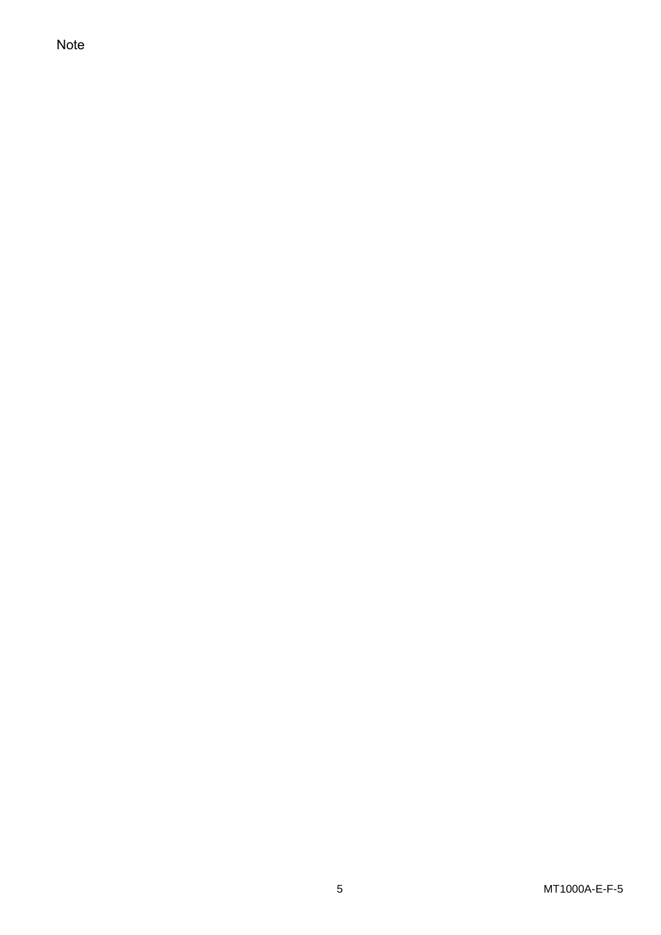Note